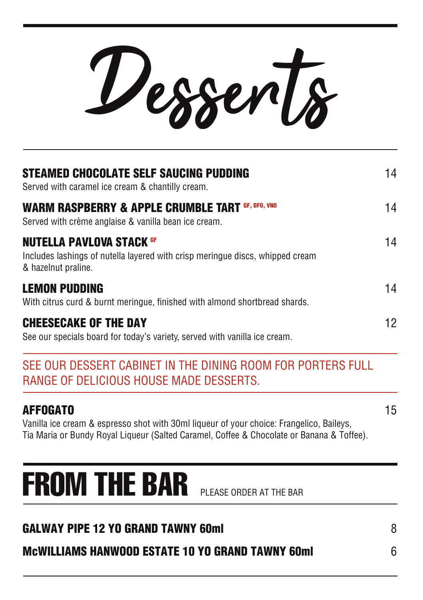Desserts

| <b>STEAMED CHOCOLATE SELF SAUCING PUDDING</b><br>Served with caramel ice cream & chantilly cream.                                       | 14 |
|-----------------------------------------------------------------------------------------------------------------------------------------|----|
| <b>WARM RASPBERRY &amp; APPLE CRUMBLE TART GF, DFO, VNO</b><br>Served with crème anglaise & vanilla bean ice cream.                     | 14 |
| <b>NUTELLA PAVLOVA STACK GF</b><br>Includes lashings of nutella layered with crisp meringue discs, whipped cream<br>& hazelnut praline. | 14 |
| <b>LEMON PUDDING</b><br>With citrus curd & burnt meringue, finished with almond shortbread shards.                                      | 14 |
| <b>CHEESECAKE OF THE DAY</b><br>See our specials board for today's variety, served with vanilla ice cream.                              | 12 |

## SEE OUR DESSERT CABINET IN THE DINING ROOM FOR PORTERS FULL RANGE OF DELICIOUS HOUSE MADE DESSERTS.

## **AFFOGATO** 15

Vanilla ice cream & espresso shot with 30ml liqueur of your choice: Frangelico, Baileys, Tia Maria or Bundy Royal Liqueur (Salted Caramel, Coffee & Chocolate or Banana & Toffee).

## FROM THE BAR PLEASE ORDER AT THE BAR

| <b>GALWAY PIPE 12 YO GRAND TAWNY 60ml</b>               |  |
|---------------------------------------------------------|--|
| <b>MCWILLIAMS HANWOOD ESTATE 10 YO GRAND TAWNY 60ml</b> |  |